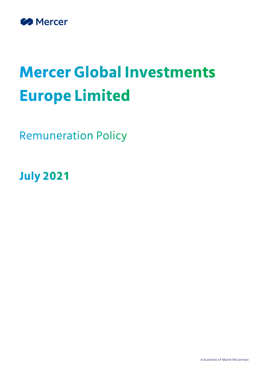

# **Mercer Global Investments Europe Limited**

**Remuneration Policy** 

**July 2021**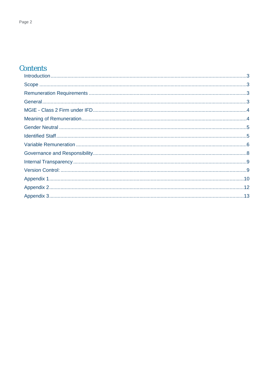# Contents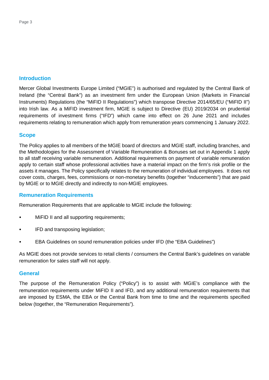#### **Introduction**

Mercer Global Investments Europe Limited ("MGIE") is authorised and regulated by the Central Bank of Ireland (the "Central Bank") as an investment firm under the European Union (Markets in Financial Instruments) Regulations (the "MiFID II Regulations") which transpose Directive 2014/65/EU ("MiFID II") into Irish law. As a MiFID investment firm, MGIE is subject to Directive (EU) 2019/2034 on prudential requirements of investment firms ("IFD") which came into effect on 26 June 2021 and includes requirements relating to remuneration which apply from remuneration years commencing 1 January 2022.

#### **Scope**

The Policy applies to all members of the MGIE board of directors and MGIE staff, including branches, and the Methodologies for the Assessment of Variable Remuneration & Bonuses set out in Appendix 1 apply to all staff receiving variable remuneration. Additional requirements on payment of variable remuneration apply to certain staff whose professional activities have a material impact on the firm's risk profile or the assets it manages. The Policy specifically relates to the remuneration of individual employees. It does not cover costs, charges, fees, commissions or non-monetary benefits (together "inducements") that are paid by MGIE or to MGIE directly and indirectly to non-MGIE employees.

#### **Remuneration Requirements**

Remuneration Requirements that are applicable to MGIE include the following:

- MiFID II and all supporting requirements;
- IFD and transposing legislation;
- EBA Guidelines on sound remuneration policies under IFD (the "EBA Guidelines")

As MGIE does not provide services to retail clients / consumers the Central Bank's guidelines on variable remuneration for sales staff will not apply.

#### **General**

The purpose of the Remuneration Policy ("Policy") is to assist with MGIE's compliance with the remuneration requirements under MiFID II and IFD, and any additional remuneration requirements that are imposed by ESMA, the EBA or the Central Bank from time to time and the requirements specified below (together, the "Remuneration Requirements").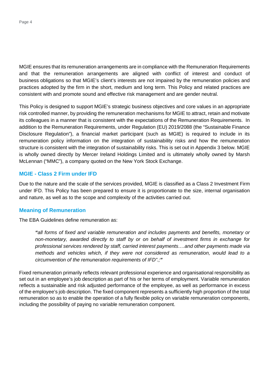MGIE ensures that its remuneration arrangements are in compliance with the Remuneration Requirements and that the remuneration arrangements are aligned with conflict of interest and conduct of business obligations so that MGIE's client's interests are not impaired by the remuneration policies and practices adopted by the firm in the short, medium and long term. This Policy and related practices are consistent with and promote sound and effective risk management and are gender neutral.

This Policy is designed to support MGIE's strategic business objectives and core values in an appropriate risk controlled manner, by providing the remuneration mechanisms for MGIE to attract, retain and motivate its colleagues in a manner that is consistent with the expectations of the Remuneration Requirements. In addition to the Remuneration Requirements, under Regulation (EU) 2019/2088 (the "Sustainable Finance Disclosure Regulation"), a financial market participant (such as MGIE) is required to include in its remuneration policy information on the integration of sustainability risks and how the remuneration structure is consistent with the integration of sustainability risks. This is set out in Appendix 3 below. MGIE is wholly owned directly by Mercer Ireland Holdings Limited and is ultimately wholly owned by Marsh McLennan ("MMC"), a company quoted on the New York Stock Exchange.

#### **MGIE - Class 2 Firm under IFD**

Due to the nature and the scale of the services provided, MGIE is classified as a Class 2 Investment Firm under IFD. This Policy has been prepared to ensure it is proportionate to the size, internal organisation and nature, as well as to the scope and complexity of the activities carried out.

#### **Meaning of Remuneration**

The EBA Guidelines define remuneration as:

*"all forms of fixed and variable remuneration and includes payments and benefits, monetary or non-monetary, awarded directly to staff by or on behalf of investment firms in exchange for professional services rendered by staff, carried interest payments….and other payments made via methods and vehicles which, if they were not considered as remuneration, would lead to a circumvention of the remuneration requirements of IFD".;"*

Fixed remuneration primarily reflects relevant professional experience and organisational responsibility as set out in an employee's job description as part of his or her terms of employment. Variable remuneration reflects a sustainable and risk adjusted performance of the employee, as well as performance in excess of the employee's job description. The fixed component represents a sufficiently high proportion of the total remuneration so as to enable the operation of a fully flexible policy on variable remuneration components, including the possibility of paying no variable remuneration component.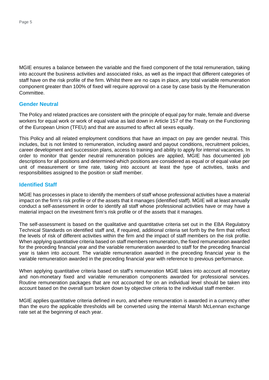MGIE ensures a balance between the variable and the fixed component of the total remuneration, taking into account the business activities and associated risks, as well as the impact that different categories of staff have on the risk profile of the firm. Whilst there are no caps in place, any total variable remuneration component greater than 100% of fixed will require approval on a case by case basis by the Remuneration **Committee.** 

#### **Gender Neutral**

The Policy and related practices are consistent with the principle of equal pay for male, female and diverse workers for equal work or work of equal value as laid down in Article 157 of the Treaty on the Functioning of the European Union (TFEU) and that are assumed to affect all sexes equally.

This Policy and all related employment conditions that have an impact on pay are gender neutral. This includes, but is not limited to remuneration, including award and payout conditions, recruitment policies, career development and succession plans, access to training and ability to apply for internal vacancies. In order to monitor that gender neutral remuneration policies are applied, MGIE has documented job descriptions for all positions and determined which positions are considered as equal or of equal value per unit of measurement or time rate, taking into account at least the type of activities, tasks and responsibilities assigned to the position or staff member.

#### **Identified Staff**

MGIE has processes in place to identify the members of staff whose professional activities have a material impact on the firm's risk profile or of the assets that it manages (identified staff). MGIE will at least annually conduct a self-assessment in order to identify all staff whose professional activities have or may have a material impact on the investment firm's risk profile or of the assets that it manages.

The self-assessment is based on the qualitative and quantitative criteria set out in the EBA Regulatory Technical Standards on identified staff and, if required, additional criteria set forth by the firm that reflect the levels of risk of different activities within the firm and the impact of staff members on the risk profile. When applying quantitative criteria based on staff members remuneration, the fixed remuneration awarded for the preceding financial year and the variable remuneration awarded to staff for the preceding financial year is taken into account. The variable remuneration awarded in the preceding financial year is the variable remuneration awarded in the preceding financial year with reference to previous performance.

When applying quantitative criteria based on staff's remuneration MGIE takes into account all monetary and non-monetary fixed and variable remuneration components awarded for professional services. Routine remuneration packages that are not accounted for on an individual level should be taken into account based on the overall sum broken down by objective criteria to the individual staff member.

MGIE applies quantitative criteria defined in euro, and where remuneration is awarded in a currency other than the euro the applicable thresholds will be converted using the internal Marsh McLennan exchange rate set at the beginning of each year.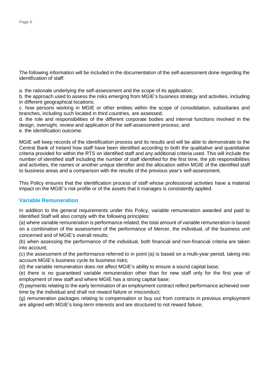The following information will be included in the documentation of the self-assessment done regarding the identification of staff:

a. the rationale underlying the self-assessment and the scope of its application;

b. the approach used to assess the risks emerging from MGIE's business strategy and activities, including in different geographical locations;

c. how persons working in MGIE or other entities within the scope of consolidation, subsidiaries and branches, including such located in third countries, are assessed;

d. the role and responsibilities of the different corporate bodies and internal functions involved in the design, oversight, review and application of the self-assessment process; and

e. the identification outcome.

MGIE will keep records of the identification process and its results and will be able to demonstrate to the Central Bank of Ireland how staff have been identified according to both the qualitative and quantitative criteria provided for within the RTS on identified staff and any additional criteria used. This will include the number of identified staff including the number of staff identified for the first time, the job responsibilities and activities, the names or another unique identifier and the allocation within MGIE of the identified staff to business areas and a comparison with the results of the previous year's self-assessment.

This Policy ensures that the identification process of staff whose professional activities have a material impact on the MGIE's risk profile or of the assets that it manages is consistently applied.

#### **Variable Remuneration**

In addition to the general requirements under this Policy, variable remuneration awarded and paid to Identified Staff will also comply with the following principles:

(a) where variable remuneration is performance related, the total amount of variable remuneration is based on a combination of the assessment of the performance of Mercer, the individual, of the business unit concerned and of MGIE's overall results;

(b) when assessing the performance of the individual, both financial and non-financial criteria are taken into account;

(c) the assessment of the performance referred to in point (a) is based on a multi-year period, taking into account MGIE's business cycle its business risks;

(d) the variable remuneration does not affect MGIE's ability to ensure a sound capital base;

(e) there is no guaranteed variable remuneration other than for new staff only for the first year of employment of new staff and where MGIE has a strong capital base;

(f) payments relating to the early termination of an employment contract reflect performance achieved over time by the individual and shall not reward failure or misconduct;

(g) remuneration packages relating to compensation or buy out from contracts in previous employment are aligned with MGIE's long-term interests and are structured to not reward failure;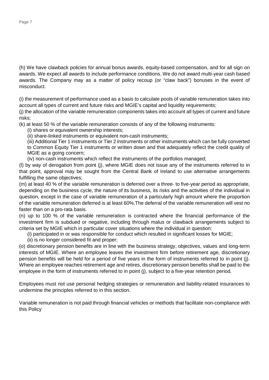(h) We have clawback policies for annual bonus awards, equity-based compensation, and for all sign on awards. We expect all awards to include performance conditions. We do not award multi-year cash based awards. The Company may as a matter of policy recoup (or "claw back") bonuses in the event of misconduct.

(i) the measurement of performance used as a basis to calculate pools of variable remuneration takes into account all types of current and future risks and MGIE's capital and liquidity requirements;

(j) the allocation of the variable remuneration components takes into account all types of current and future risks;

(k) at least 50 % of the variable remuneration consists of any of the following instruments:

(i) shares or equivalent ownership interests;

(ii) share-linked instruments or equivalent non-cash instruments;

(iii) Additional Tier 1 instruments or Tier 2 instruments or other instruments which can be fully converted to Common Equity Tier 1 instruments or written down and that adequately reflect the credit quality of MGIE as a going concern:

(iv) non-cash instruments which reflect the instruments of the portfolios managed;

(l) by way of derogation from point (j), where MGIE does not issue any of the instruments referred to in that point, approval may be sought from the Central Bank of Ireland to use alternative arrangements fulfilling the same objectives;

(m) at least 40 % of the variable remuneration is deferred over a three- to five-year period as appropriate, depending on the business cycle, the nature of its business, its risks and the activities of the individual in question, except in the case of variable remuneration of a particularly high amount where the proportion of the variable remuneration deferred is at least 60%.The deferral of the variable remuneration will vest no faster than on a pro-rata basis.

(n) up to 100 % of the variable remuneration is contracted where the financial performance of the investment firm is subdued or negative, including through malus or clawback arrangements subject to criteria set by MGIE which in particular cover situations where the individual in question:

(i) participated in or was responsible for conduct which resulted in significant losses for MGIE;

(ii) is no longer considered fit and proper;

(o) discretionary pension benefits are in line with the business strategy, objectives, values and long-term interests of MGIE. Where an employee leaves the investment firm before retirement age, discretionary pension benefits will be held for a period of five years in the form of instruments referred to in point (j). Where an employee reaches retirement age and retires, discretionary pension benefits shall be paid to the employee in the form of instruments referred to in point (j), subject to a five-year retention period.

Employees must not use personal hedging strategies or remuneration and liability-related insurances to undermine the principles referred to in this section.

Variable remuneration is not paid through financial vehicles or methods that facilitate non-compliance with this Policy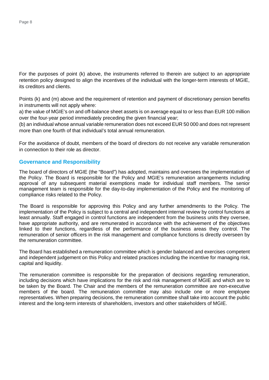For the purposes of point (k) above, the instruments referred to therein are subject to an appropriate retention policy designed to align the incentives of the individual with the longer-term interests of MGIE, its creditors and clients.

Points (k) and (m) above and the requirement of retention and payment of discretionary pension benefits in instruments will not apply where:

a) the value of MGIE's on and off-balance sheet assets is on average equal to or less than EUR 100 million over the four-year period immediately preceding the given financial year;

(b) an individual whose annual variable remuneration does not exceed EUR 50 000 and does not represent more than one fourth of that individual's total annual remuneration.

For the avoidance of doubt, members of the board of directors do not receive any variable remuneration in connection to their role as director.

#### **Governance and Responsibility**

The board of directors of MGIE (the "Board") has adopted, maintains and oversees the implementation of the Policy. The Board is responsible for the Policy and MGIE's remuneration arrangements including approval of any subsequent material exemptions made for individual staff members. The senior management team is responsible for the day-to-day implementation of the Policy and the monitoring of compliance risks related to the Policy.

The Board is responsible for approving this Policy and any further amendments to the Policy. The implementation of the Policy is subject to a central and independent internal review by control functions at least annually. Staff engaged in control functions are independent from the business units they oversee, have appropriate authority, and are remunerated in accordance with the achievement of the objectives linked to their functions, regardless of the performance of the business areas they control. The remuneration of senior officers in the risk management and compliance functions is directly overseen by the remuneration committee.

The Board has established a remuneration committee which is gender balanced and exercises competent and independent judgement on this Policy and related practices including the incentive for managing risk, capital and liquidity.

The remuneration committee is responsible for the preparation of decisions regarding remuneration, including decisions which have implications for the risk and risk management of MGIE and which are to be taken by the Board. The Chair and the members of the remuneration committee are non-executive members of the board. The remuneration committee may also include one or more employee representatives. When preparing decisions, the remuneration committee shall take into account the public interest and the long-term interests of shareholders, investors and other stakeholders of MGIE.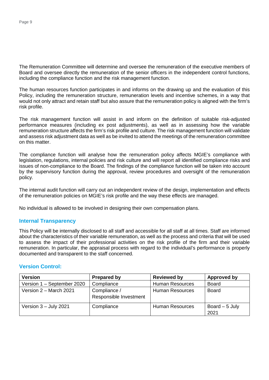The Remuneration Committee will determine and oversee the remuneration of the executive members of Board and oversee directly the remuneration of the senior officers in the independent control functions, including the compliance function and the risk management function.

The human resources function participates in and informs on the drawing up and the evaluation of this Policy, including the remuneration structure, remuneration levels and incentive schemes, in a way that would not only attract and retain staff but also assure that the remuneration policy is aligned with the firm's risk profile.

The risk management function will assist in and inform on the definition of suitable risk-adjusted performance measures (including ex post adjustments), as well as in assessing how the variable remuneration structure affects the firm's risk profile and culture. The risk management function will validate and assess risk adjustment data as well as be invited to attend the meetings of the remuneration committee on this matter.

The compliance function will analyse how the remuneration policy affects MGIE's compliance with legislation, regulations, internal policies and risk culture and will report all identified compliance risks and issues of non-compliance to the Board. The findings of the compliance function will be taken into account by the supervisory function during the approval, review procedures and oversight of the remuneration policy.

The internal audit function will carry out an independent review of the design, implementation and effects of the remuneration policies on MGIE's risk profile and the way these effects are managed.

No individual is allowed to be involved in designing their own compensation plans.

#### **Internal Transparency**

This Policy will be internally disclosed to all staff and accessible for all staff at all times. Staff are informed about the characteristics of their variable remuneration, as well as the process and criteria that will be used to assess the impact of their professional activities on the risk profile of the firm and their variable remuneration. In particular, the appraisal process with regard to the individual's performance is properly documented and transparent to the staff concerned.

#### **Version Control:**

| <b>Version</b>             | <b>Prepared by</b>                     | <b>Reviewed by</b>     | Approved by             |
|----------------------------|----------------------------------------|------------------------|-------------------------|
| Version 1 - September 2020 | Compliance                             | <b>Human Resources</b> | <b>Board</b>            |
| Version 2 – March 2021     | Compliance /<br>Responsible Investment | <b>Human Resources</b> | Board                   |
| Version $3 -$ July 2021    | Compliance                             | <b>Human Resources</b> | Board $-5$ July<br>2021 |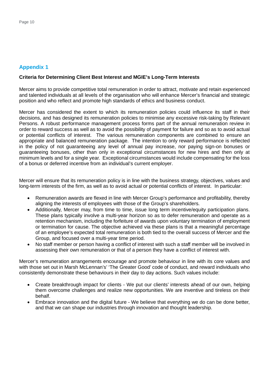# **Appendix 1**

#### **Criteria for Determining Client Best Interest and MGIE's Long-Term Interests**

Mercer aims to provide competitive total remuneration in order to attract, motivate and retain experienced and talented individuals at all levels of the organisation who will enhance Mercer's financial and strategic position and who reflect and promote high standards of ethics and business conduct.

Mercer has considered the extent to which its remuneration policies could influence its staff in their decisions, and has designed its remuneration policies to minimise any excessive risk-taking by Relevant Persons. A robust performance management process forms part of the annual remuneration review in order to reward success as well as to avoid the possibility of payment for failure and so as to avoid actual or potential conflicts of interest. The various remuneration components are combined to ensure an appropriate and balanced remuneration package. The intention to only reward performance is reflected in the policy of not guaranteeing any level of annual pay increase, nor paying sign-on bonuses or guaranteeing bonuses, other than only in exceptional circumstances for new hires and then only at minimum levels and for a single year. Exceptional circumstances would include compensating for the loss of a bonus or deferred incentive from an individual's current employer.

Mercer will ensure that its remuneration policy is in line with the business strategy, objectives, values and long-term interests of the firm, as well as to avoid actual or potential conflicts of interest. In particular:

- Remuneration awards are flexed in line with Mercer Group's performance and profitability, thereby aligning the interests of employees with those of the Group's shareholders.
- · Additionally, Mercer may, from time to time, issue long term incentive/equity participation plans. These plans typically involve a multi-year horizon so as to defer remuneration and operate as a retention mechanism, including the forfeiture of awards upon voluntary termination of employment or termination for cause. The objective achieved via these plans is that a meaningful percentage of an employee's expected total remuneration is both tied to the overall success of Mercer and the Group, and focused over a multi-year time period.
- No staff member or person having a conflict of interest with such a staff member will be involved in assessing their own remuneration or that of a person they have a conflict of interest with.

Mercer's remuneration arrangements encourage and promote behaviour in line with its core values and with those set out in Marsh McLennan's' 'The Greater Good' code of conduct, and reward individuals who consistently demonstrate these behaviours in their day to day actions. Such values include:

- Create breakthrough impact for clients We put our clients' interests ahead of our own, helping them overcome challenges and realize new opportunities. We are inventive and tireless on their behalf.
- Embrace innovation and the digital future We believe that everything we do can be done better, and that we can shape our industries through innovation and thought leadership.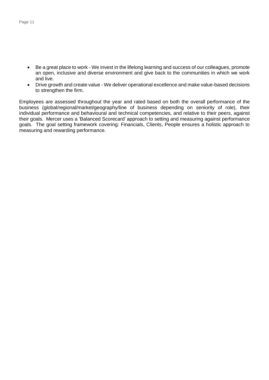- · Be a great place to work We invest in the lifelong learning and success of our colleagues, promote an open, inclusive and diverse environment and give back to the communities in which we work and live.
- · Drive growth and create value We deliver operational excellence and make value-based decisions to strengthen the firm.

Employees are assessed throughout the year and rated based on both the overall performance of the business (global/regional/market/geography/line of business depending on seniority of role), their individual performance and behavioural and technical competencies, and relative to their peers, against their goals. Mercer uses a 'Balanced Scorecard' approach to setting and measuring against performance goals. The goal setting framework covering: Financials, Clients, People ensures a holistic approach to measuring and rewarding performance.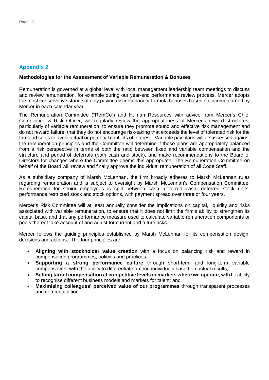# **Appendix 2**

#### **Methodologies for the Assessment of Variable Remuneration & Bonuses**

Remuneration is governed at a global level with local management leadership team meetings to discuss and review remuneration, for example during our year-end performance review process. Mercer adopts the most conservative stance of only paying discretionary or formula bonuses based on income earned by Mercer in each calendar year.

The Remuneration Committee ("RemCo") and Human Resources with advice from Mercer's Chief Compliance & Risk Officer, will regularly review the appropriateness of Mercer's reward structures, particularly of variable remuneration, to ensure they promote sound and effective risk management and do not reward failure, that they do not encourage risk-taking that exceeds the level of tolerated risk for the firm and so as to avoid actual or potential conflicts of interest. Variable pay plans will be assessed against the remuneration principles and the Committee will determine if those plans are appropriately balanced from a risk perspective in terms of both the ratio between fixed and variable compensation and the structure and period of deferrals (both cash and stock), and make recommendations to the Board of Directors for changes where the Committee deems this appropriate. The Remuneration Committee on behalf of the Board will review and finally approve the individual remuneration of all Code Staff.

As a subsidiary company of Marsh McLennan, the firm broadly adheres to Marsh McLennan rules regarding remuneration and is subject to oversight by Marsh McLennan's Compensation Committee. Remuneration for senior employees is split between cash, deferred cash, deferred stock units, performance restricted stock and stock options, with payment spread over three or four years.

Mercer's Risk Committee will at least annually consider the implications on capital, liquidity and risks associated with variable remuneration, to ensure that it does not limit the firm's ability to strengthen its capital base, and that any performance measure used to calculate variable remuneration components or pools thereof take account of and adjust for current and future risks.

Mercer follows the guiding principles established by Marsh McLennan for its compensation design, decisions and actions. The four principles are:

- · **Aligning with stockholder value creation** with a focus on balancing risk and reward in compensation programmes, policies and practices;
- **Supporting a strong performance culture** through short-term and long-term variable compensation, with the ability to differentiate among individuals based on actual results;
- · **Setting target compensation at competitive levels in markets where we operate**, with flexibility to recognise different business models and markets for talent; and
- · **Maximising colleagues' perceived value of our programmes** through transparent processes and communication.